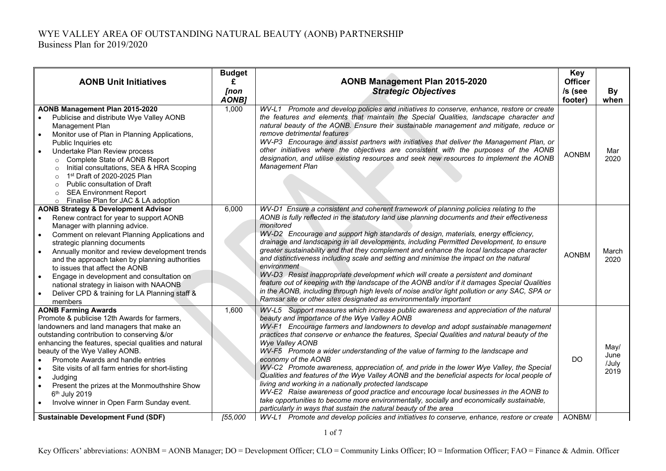#### WYE VALLEY AREA OF OUTSTANDING NATURAL BEAUTY (AONB) PARTNERSHIP Business Plan for 2019/2020

| <b>AONB Unit Initiatives</b>                                                                                                                                                                                                                                                                                                                                                                                                                                                                                               | <b>Budget</b><br>£<br>[non<br><b>AONB1</b> | AONB Management Plan 2015-2020<br><b>Strategic Objectives</b>                                                                                                                                                                                                                                                                                                                                                                                                                                                                                                                                                                                                                                                                                                                                                                                                                                                                                                             | <b>Key</b><br><b>Officer</b><br>/s (see<br>footer) | By<br>when                    |
|----------------------------------------------------------------------------------------------------------------------------------------------------------------------------------------------------------------------------------------------------------------------------------------------------------------------------------------------------------------------------------------------------------------------------------------------------------------------------------------------------------------------------|--------------------------------------------|---------------------------------------------------------------------------------------------------------------------------------------------------------------------------------------------------------------------------------------------------------------------------------------------------------------------------------------------------------------------------------------------------------------------------------------------------------------------------------------------------------------------------------------------------------------------------------------------------------------------------------------------------------------------------------------------------------------------------------------------------------------------------------------------------------------------------------------------------------------------------------------------------------------------------------------------------------------------------|----------------------------------------------------|-------------------------------|
| AONB Management Plan 2015-2020<br>Publicise and distribute Wye Valley AONB<br>Management Plan<br>Monitor use of Plan in Planning Applications,<br>Public Inquiries etc<br>Undertake Plan Review process<br>○ Complete State of AONB Report<br>Initial consultations, SEA & HRA Scoping<br>$\circ$<br>1st Draft of 2020-2025 Plan<br>$\circ$<br>Public consultation of Draft<br>$\circ$<br><b>SEA Environment Report</b><br>$\circ$<br>o Finalise Plan for JAC & LA adoption                                                | 1,000                                      | WV-L1 Promote and develop policies and initiatives to conserve, enhance, restore or create<br>the features and elements that maintain the Special Qualities, landscape character and<br>natural beauty of the AONB. Ensure their sustainable management and mitigate, reduce or<br>remove detrimental features<br>WV-P3 Encourage and assist partners with initiatives that deliver the Management Plan, or<br>other initiatives where the objectives are consistent with the purposes of the AONB<br>designation, and utilise existing resources and seek new resources to implement the AONB<br>Management Plan                                                                                                                                                                                                                                                                                                                                                         | <b>AONBM</b>                                       | Mar<br>2020                   |
| <b>AONB Strategy &amp; Development Advisor</b><br>Renew contract for year to support AONB<br>Manager with planning advice.<br>Comment on relevant Planning Applications and<br>$\bullet$<br>strategic planning documents<br>Annually monitor and review development trends<br>and the approach taken by planning authorities<br>to issues that affect the AONB<br>Engage in development and consultation on<br>national strategy in liaison with NAAONB<br>Deliver CPD & training for LA Planning staff &<br>members       | 6,000                                      | WV-D1 Ensure a consistent and coherent framework of planning policies relating to the<br>AONB is fully reflected in the statutory land use planning documents and their effectiveness<br>monitored<br>WV-D2 Encourage and support high standards of design, materials, energy efficiency,<br>drainage and landscaping in all developments, including Permitted Development, to ensure<br>greater sustainability and that they complement and enhance the local landscape character<br>and distinctiveness including scale and setting and minimise the impact on the natural<br>environment<br>WV-D3 Resist inappropriate development which will create a persistent and dominant<br>feature out of keeping with the landscape of the AONB and/or if it damages Special Qualities<br>in the AONB, including through high levels of noise and/or light pollution or any SAC, SPA or<br>Ramsar site or other sites designated as environmentally important                  | <b>AONBM</b>                                       | March<br>2020                 |
| <b>AONB Farming Awards</b><br>Promote & publicise 12th Awards for farmers,<br>landowners and land managers that make an<br>outstanding contribution to conserving &/or<br>enhancing the features, special qualities and natural<br>beauty of the Wye Valley AONB.<br>Promote Awards and handle entries<br>Site visits of all farm entries for short-listing<br>$\bullet$<br>Judging<br>$\bullet$<br>Present the prizes at the Monmouthshire Show<br>6 <sup>th</sup> July 2019<br>Involve winner in Open Farm Sunday event. | 1,600                                      | WV-L5 Support measures which increase public awareness and appreciation of the natural<br>beauty and importance of the Wye Valley AONB<br>WV-F1 Encourage farmers and landowners to develop and adopt sustainable management<br>practices that conserve or enhance the features, Special Qualities and natural beauty of the<br>Wye Valley AONB<br>WV-F5 Promote a wider understanding of the value of farming to the landscape and<br>economy of the AONB<br>WV-C2 Promote awareness, appreciation of, and pride in the lower Wye Valley, the Special<br>Qualities and features of the Wye Valley AONB and the beneficial aspects for local people of<br>living and working in a nationally protected landscape<br>WV-E2 Raise awareness of good practice and encourage local businesses in the AONB to<br>take opportunities to become more environmentally, socially and economically sustainable,<br>particularly in ways that sustain the natural beauty of the area | <b>DO</b>                                          | May/<br>June<br>/July<br>2019 |
| <b>Sustainable Development Fund (SDF)</b>                                                                                                                                                                                                                                                                                                                                                                                                                                                                                  | [55,000]                                   | WV-L1 Promote and develop policies and initiatives to conserve, enhance, restore or create                                                                                                                                                                                                                                                                                                                                                                                                                                                                                                                                                                                                                                                                                                                                                                                                                                                                                | AONBM/                                             |                               |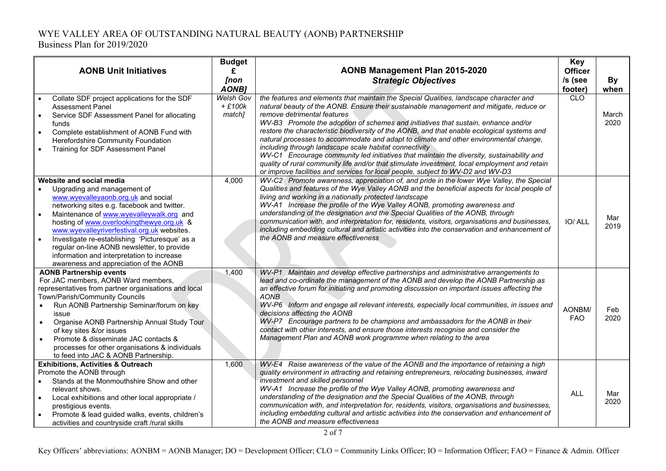| <b>AONB Unit Initiatives</b>                                                                                                                                                                                                                                                                                                                                                                                                                                                                | <b>Budget</b><br>£<br>[non               | AONB Management Plan 2015-2020<br><b>Strategic Objectives</b>                                                                                                                                                                                                                                                                                                                                                                                                                                                                                                                                                                                                                                                                                                                                                                             | Key<br><b>Officer</b><br>/s (see | <b>By</b>             |
|---------------------------------------------------------------------------------------------------------------------------------------------------------------------------------------------------------------------------------------------------------------------------------------------------------------------------------------------------------------------------------------------------------------------------------------------------------------------------------------------|------------------------------------------|-------------------------------------------------------------------------------------------------------------------------------------------------------------------------------------------------------------------------------------------------------------------------------------------------------------------------------------------------------------------------------------------------------------------------------------------------------------------------------------------------------------------------------------------------------------------------------------------------------------------------------------------------------------------------------------------------------------------------------------------------------------------------------------------------------------------------------------------|----------------------------------|-----------------------|
| Collate SDF project applications for the SDF<br><b>Assessment Panel</b><br>Service SDF Assessment Panel for allocating<br>funds<br>Complete establishment of AONB Fund with<br>$\bullet$<br>Herefordshire Community Foundation<br>Training for SDF Assessment Panel                                                                                                                                                                                                                         | AONB1<br>Welsh Gov<br>$+£100k$<br>match] | the features and elements that maintain the Special Qualities, landscape character and<br>natural beauty of the AONB. Ensure their sustainable management and mitigate, reduce or<br>remove detrimental features<br>WV-B3 Promote the adoption of schemes and initiatives that sustain, enhance and/or<br>restore the characteristic biodiversity of the AONB, and that enable ecological systems and<br>natural processes to accommodate and adapt to climate and other environmental change,<br>including through landscape scale habitat connectivity<br>WV-C1 Encourage community led initiatives that maintain the diversity, sustainability and<br>quality of rural community life and/or that stimulate investment, local employment and retain<br>or improve facilities and services for local people, subject to WV-D2 and WV-D3 | footer)<br><b>CLO</b>            | when<br>March<br>2020 |
| Website and social media<br>Upgrading and management of<br>www.wyevalleyaonb.org.uk and social<br>networking sites e.g. facebook and twitter.<br>Maintenance of www.wyevalleywalk.org and<br>hosting of www.overlookingthewye.org.uk &<br>www.wyevalleyriverfestival.org.uk websites.<br>Investigate re-establishing 'Picturesque' as a<br>$\bullet$<br>regular on-line AONB newsletter, to provide<br>information and interpretation to increase<br>awareness and appreciation of the AONB | 4,000                                    | WV-C2 Promote awareness, appreciation of, and pride in the lower Wye Valley, the Special<br>Qualities and features of the Wye Valley AONB and the beneficial aspects for local people of<br>living and working in a nationally protected landscape<br>WV-A1 Increase the profile of the Wye Valley AONB, promoting awareness and<br>understanding of the designation and the Special Qualities of the AONB, through<br>communication with, and interpretation for, residents, visitors, organisations and businesses,<br>including embedding cultural and artistic activities into the conservation and enhancement of<br>the AONB and measure effectiveness                                                                                                                                                                              | IO/ALL                           | Mar<br>2019           |
| <b>AONB Partnership events</b><br>For JAC members, AONB Ward members,<br>representatives from partner organisations and local<br>Town/Parish/Community Councils<br>Run AONB Partnership Seminar/forum on key<br>issue<br>Organise AONB Partnership Annual Study Tour<br>$\bullet$<br>of key sites &/or issues<br>Promote & disseminate JAC contacts &<br>$\bullet$<br>processes for other organisations & individuals<br>to feed into JAC & AONB Partnership.                               | 1,400                                    | WV-P1 Maintain and develop effective partnerships and administrative arrangements to<br>lead and co-ordinate the management of the AONB and develop the AONB Partnership as<br>an effective forum for initiating and promoting discussion on important issues affecting the<br>AONB<br>WV-P6 Inform and engage all relevant interests, especially local communities, in issues and<br>decisions affecting the AONB<br>WV-P7 Encourage partners to be champions and ambassadors for the AONB in their<br>contact with other interests, and ensure those interests recognise and consider the<br>Management Plan and AONB work programme when relating to the area                                                                                                                                                                          | AONBM/<br><b>FAO</b>             | Feb<br>2020           |
| <b>Exhibitions, Activities &amp; Outreach</b><br>Promote the AONB through<br>Stands at the Monmouthshire Show and other<br>relevant shows.<br>Local exhibitions and other local appropriate /<br>prestigious events.<br>Promote & lead guided walks, events, children's<br>activities and countryside craft /rural skills                                                                                                                                                                   | 1,600                                    | WV-E4 Raise awareness of the value of the AONB and the importance of retaining a high<br>quality environment in attracting and retaining entrepreneurs, relocating businesses, inward<br>investment and skilled personnel<br>WV-A1 Increase the profile of the Wye Valley AONB, promoting awareness and<br>understanding of the designation and the Special Qualities of the AONB, through<br>communication with, and interpretation for, residents, visitors, organisations and businesses,<br>including embedding cultural and artistic activities into the conservation and enhancement of<br>the AONB and measure effectiveness                                                                                                                                                                                                       | <b>ALL</b>                       | Mar<br>2020           |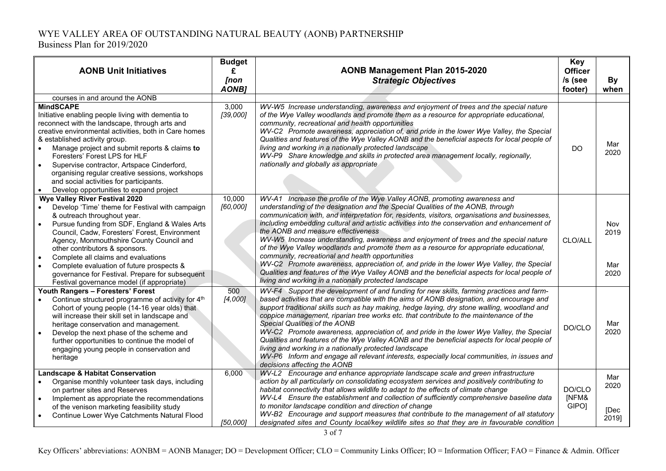| <b>AONB Unit Initiatives</b>                                                                                                                                                                                                                                                                                                                                                                                                                                                                                           | <b>Budget</b><br>£<br>[non<br><b>AONBJ</b> | AONB Management Plan 2015-2020<br><b>Strategic Objectives</b>                                                                                                                                                                                                                                                                                                                                                                                                                                                                                                                                                                                                                                                                                                                                                                                                                                        | Key<br><b>Officer</b><br>/s (see<br>footer) | <b>By</b><br>when            |
|------------------------------------------------------------------------------------------------------------------------------------------------------------------------------------------------------------------------------------------------------------------------------------------------------------------------------------------------------------------------------------------------------------------------------------------------------------------------------------------------------------------------|--------------------------------------------|------------------------------------------------------------------------------------------------------------------------------------------------------------------------------------------------------------------------------------------------------------------------------------------------------------------------------------------------------------------------------------------------------------------------------------------------------------------------------------------------------------------------------------------------------------------------------------------------------------------------------------------------------------------------------------------------------------------------------------------------------------------------------------------------------------------------------------------------------------------------------------------------------|---------------------------------------------|------------------------------|
| courses in and around the AONB                                                                                                                                                                                                                                                                                                                                                                                                                                                                                         |                                            |                                                                                                                                                                                                                                                                                                                                                                                                                                                                                                                                                                                                                                                                                                                                                                                                                                                                                                      |                                             |                              |
| <b>MindSCAPE</b><br>Initiative enabling people living with dementia to<br>reconnect with the landscape, through arts and<br>creative environmental activities, both in Care homes<br>& established activity group.<br>Manage project and submit reports & claims to<br>Foresters' Forest LPS for HLF<br>Supervise contractor, Artspace Cinderford,<br>organising regular creative sessions, workshops<br>and social activities for participants.<br>Develop opportunities to expand project<br>$\bullet$               | 3,000<br>[39,000]                          | WV-W5 Increase understanding, awareness and enjoyment of trees and the special nature<br>of the Wye Valley woodlands and promote them as a resource for appropriate educational,<br>community, recreational and health opportunities<br>WV-C2 Promote awareness, appreciation of, and pride in the lower Wye Valley, the Special<br>Qualities and features of the Wye Valley AONB and the beneficial aspects for local people of<br>living and working in a nationally protected landscape<br>WV-P9 Share knowledge and skills in protected area management locally, regionally,<br>nationally and globally as appropriate                                                                                                                                                                                                                                                                           | <b>DO</b>                                   | Mar<br>2020                  |
| <b>Wye Valley River Festival 2020</b><br>Develop 'Time' theme for Festival with campaign<br>& outreach throughout year.<br>Pursue funding from SDF, England & Wales Arts<br>Council, Cadw, Foresters' Forest, Environment<br>Agency, Monmouthshire County Council and<br>other contributors & sponsors.<br>Complete all claims and evaluations<br>$\bullet$<br>Complete evaluation of future prospects &<br>$\bullet$<br>governance for Festival. Prepare for subsequent<br>Festival governance model (if appropriate) | 10,000<br>[60,000]                         | WV-A1 Increase the profile of the Wye Valley AONB, promoting awareness and<br>understanding of the designation and the Special Qualities of the AONB, through<br>communication with, and interpretation for, residents, visitors, organisations and businesses,<br>including embedding cultural and artistic activities into the conservation and enhancement of<br>the AONB and measure effectiveness<br>WV-W5 Increase understanding, awareness and enjoyment of trees and the special nature<br>of the Wye Valley woodlands and promote them as a resource for appropriate educational,<br>community, recreational and health opportunities<br>WV-C2 Promote awareness, appreciation of, and pride in the lower Wye Valley, the Special<br>Qualities and features of the Wye Valley AONB and the beneficial aspects for local people of<br>living and working in a nationally protected landscape | CLO/ALL                                     | Nov<br>2019<br>Mar<br>2020   |
| Youth Rangers - Foresters' Forest<br>Continue structured programme of activity for 4th<br>Cohort of young people (14-16 year olds) that<br>will increase their skill set in landscape and<br>heritage conservation and management.<br>Develop the next phase of the scheme and<br>further opportunities to continue the model of<br>engaging young people in conservation and<br>heritage                                                                                                                              | 500<br>[4,000]                             | WV-F4 Support the development of and funding for new skills, farming practices and farm-<br>based activities that are compatible with the aims of AONB designation, and encourage and<br>support traditional skills such as hay making, hedge laying, dry stone walling, woodland and<br>coppice management, riparian tree works etc. that contribute to the maintenance of the<br>Special Qualities of the AONB<br>WV-C2 Promote awareness, appreciation of, and pride in the lower Wye Valley, the Special<br>Qualities and features of the Wye Valley AONB and the beneficial aspects for local people of<br>living and working in a nationally protected landscape<br>WV-P6 Inform and engage all relevant interests, especially local communities, in issues and<br>decisions affecting the AONB                                                                                                | DO/CLO                                      | Mar<br>2020                  |
| <b>Landscape &amp; Habitat Conservation</b><br>Organise monthly volunteer task days, including<br>on partner sites and Reserves<br>Implement as appropriate the recommendations<br>$\bullet$<br>of the venison marketing feasibility study<br>Continue Lower Wye Catchments Natural Flood<br>$\bullet$                                                                                                                                                                                                                 | 6,000<br>[50,000]                          | WV-L2 Encourage and enhance appropriate landscape scale and green infrastructure<br>action by all particularly on consolidating ecosystem services and positively contributing to<br>habitat connectivity that allows wildlife to adapt to the effects of climate change<br>WV-L4 Ensure the establishment and collection of sufficiently comprehensive baseline data<br>to monitor landscape condition and direction of change<br>WV-B2 Encourage and support measures that contribute to the management of all statutory<br>designated sites and County local/key wildlife sites so that they are in favourable condition                                                                                                                                                                                                                                                                          | DO/CLO<br>[NFM&<br>GIPO]                    | Mar<br>2020<br>[Dec<br>2019] |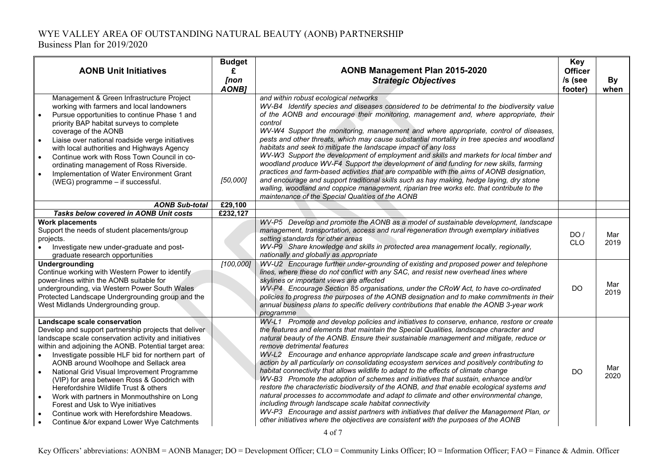| <b>AONB Unit Initiatives</b>                                                                                                                                                                                                                                                                                                                                                                                                                                                                                                                                                                                              | <b>Budget</b><br>£<br>[non<br>AONB1 | AONB Management Plan 2015-2020<br><b>Strategic Objectives</b>                                                                                                                                                                                                                                                                                                                                                                                                                                                                                                                                                                                                                                                                                                                                                                                                                                                                                                                                                                                                                                                                                              | Key<br><b>Officer</b><br>/s (see<br>footer) | <b>By</b><br>when |
|---------------------------------------------------------------------------------------------------------------------------------------------------------------------------------------------------------------------------------------------------------------------------------------------------------------------------------------------------------------------------------------------------------------------------------------------------------------------------------------------------------------------------------------------------------------------------------------------------------------------------|-------------------------------------|------------------------------------------------------------------------------------------------------------------------------------------------------------------------------------------------------------------------------------------------------------------------------------------------------------------------------------------------------------------------------------------------------------------------------------------------------------------------------------------------------------------------------------------------------------------------------------------------------------------------------------------------------------------------------------------------------------------------------------------------------------------------------------------------------------------------------------------------------------------------------------------------------------------------------------------------------------------------------------------------------------------------------------------------------------------------------------------------------------------------------------------------------------|---------------------------------------------|-------------------|
| Management & Green Infrastructure Project<br>working with farmers and local landowners<br>Pursue opportunities to continue Phase 1 and<br>priority BAP habitat surveys to complete<br>coverage of the AONB<br>Liaise over national roadside verge initiatives<br>with local authorities and Highways Agency<br>Continue work with Ross Town Council in co-<br>ordinating management of Ross Riverside.<br>Implementation of Water Environment Grant<br>$\bullet$<br>(WEG) programme - if successful.                                                                                                                      | [50,000]                            | and within robust ecological networks<br>WV-B4 Identify species and diseases considered to be detrimental to the biodiversity value<br>of the AONB and encourage their monitoring, management and, where appropriate, their<br>control<br>WV-W4 Support the monitoring, management and where appropriate, control of diseases,<br>pests and other threats, which may cause substantial mortality in tree species and woodland<br>habitats and seek to mitigate the landscape impact of any loss<br>WV-W3 Support the development of employment and skills and markets for local timber and<br>woodland produce WV-F4 Support the development of and funding for new skills, farming<br>practices and farm-based activities that are compatible with the aims of AONB designation,<br>and encourage and support traditional skills such as hay making, hedge laying, dry stone<br>walling, woodland and coppice management, riparian tree works etc. that contribute to the<br>maintenance of the Special Qualities of the AONB                                                                                                                             |                                             |                   |
| <b>AONB Sub-total</b>                                                                                                                                                                                                                                                                                                                                                                                                                                                                                                                                                                                                     | £29,100                             |                                                                                                                                                                                                                                                                                                                                                                                                                                                                                                                                                                                                                                                                                                                                                                                                                                                                                                                                                                                                                                                                                                                                                            |                                             |                   |
| Tasks below covered in AONB Unit costs                                                                                                                                                                                                                                                                                                                                                                                                                                                                                                                                                                                    | £232,127                            |                                                                                                                                                                                                                                                                                                                                                                                                                                                                                                                                                                                                                                                                                                                                                                                                                                                                                                                                                                                                                                                                                                                                                            |                                             |                   |
| <b>Work placements</b><br>Support the needs of student placements/group<br>projects.<br>Investigate new under-graduate and post-<br>graduate research opportunities                                                                                                                                                                                                                                                                                                                                                                                                                                                       |                                     | WV-P5 Develop and promote the AONB as a model of sustainable development, landscape<br>management, transportation, access and rural regeneration through exemplary initiatives<br>setting standards for other areas<br>WV-P9 Share knowledge and skills in protected area management locally, regionally,<br>nationally and globally as appropriate                                                                                                                                                                                                                                                                                                                                                                                                                                                                                                                                                                                                                                                                                                                                                                                                        | DO/<br><b>CLO</b>                           | Mar<br>2019       |
| Undergrounding<br>Continue working with Western Power to identify<br>power-lines within the AONB suitable for<br>undergrounding, via Western Power South Wales<br>Protected Landscape Undergrounding group and the<br>West Midlands Undergrounding group.                                                                                                                                                                                                                                                                                                                                                                 | [100,000]                           | WV-U2 Encourage further under-grounding of existing and proposed power and telephone<br>lines, where these do not conflict with any SAC, and resist new overhead lines where<br>skylines or important views are affected<br>WV-P4 Encourage Section 85 organisations, under the CRoW Act, to have co-ordinated<br>policies to progress the purposes of the AONB designation and to make commitments in their<br>annual business plans to specific delivery contributions that enable the AONB 3-year work<br>programme                                                                                                                                                                                                                                                                                                                                                                                                                                                                                                                                                                                                                                     | <b>DO</b>                                   | Mar<br>2019       |
| Landscape scale conservation<br>Develop and support partnership projects that deliver<br>landscape scale conservation activity and initiatives<br>within and adjoining the AONB. Potential target area:<br>Investigate possible HLF bid for northern part of<br>AONB around Woolhope and Sellack area<br>National Grid Visual Improvement Programme<br>(VIP) for area between Ross & Goodrich with<br>Herefordshire Wildlife Trust & others<br>Work with partners in Monmouthshire on Long<br>Forest and Usk to Wye initiatives<br>Continue work with Herefordshire Meadows.<br>Continue &/or expand Lower Wye Catchments |                                     | WV-L1 Promote and develop policies and initiatives to conserve, enhance, restore or create<br>the features and elements that maintain the Special Qualities, landscape character and<br>natural beauty of the AONB. Ensure their sustainable management and mitigate, reduce or<br>remove detrimental features<br>WV-L2 Encourage and enhance appropriate landscape scale and green infrastructure<br>action by all particularly on consolidating ecosystem services and positively contributing to<br>habitat connectivity that allows wildlife to adapt to the effects of climate change<br>WV-B3 Promote the adoption of schemes and initiatives that sustain, enhance and/or<br>restore the characteristic biodiversity of the AONB, and that enable ecological systems and<br>natural processes to accommodate and adapt to climate and other environmental change,<br>including through landscape scale habitat connectivity<br>WV-P3 Encourage and assist partners with initiatives that deliver the Management Plan, or<br>other initiatives where the objectives are consistent with the purposes of the AONB<br>$\Lambda$ $\sim$ $\Gamma$ $\tau$ | DO                                          | Mar<br>2020       |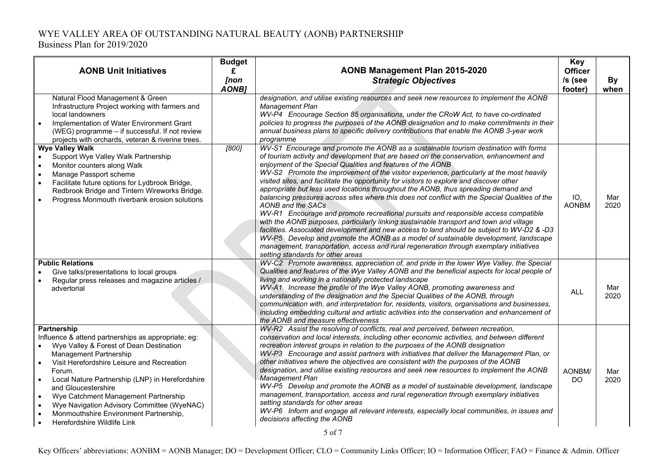| <b>AONB Unit Initiatives</b>                                                                                                                                                                                                                                                                                                                                                                                                                                       | <b>Budget</b><br>£<br>[non<br><b>AONBJ</b> | AONB Management Plan 2015-2020<br><b>Strategic Objectives</b>                                                                                                                                                                                                                                                                                                                                                                                                                                                                                                                                                                                                                                                                                                                                                                                                                                                                                                                                                                                                                                                                                                | Key<br><b>Officer</b><br>/s (see<br>footer) | By<br>when  |
|--------------------------------------------------------------------------------------------------------------------------------------------------------------------------------------------------------------------------------------------------------------------------------------------------------------------------------------------------------------------------------------------------------------------------------------------------------------------|--------------------------------------------|--------------------------------------------------------------------------------------------------------------------------------------------------------------------------------------------------------------------------------------------------------------------------------------------------------------------------------------------------------------------------------------------------------------------------------------------------------------------------------------------------------------------------------------------------------------------------------------------------------------------------------------------------------------------------------------------------------------------------------------------------------------------------------------------------------------------------------------------------------------------------------------------------------------------------------------------------------------------------------------------------------------------------------------------------------------------------------------------------------------------------------------------------------------|---------------------------------------------|-------------|
| Natural Flood Management & Green<br>Infrastructure Project working with farmers and<br>local landowners<br>Implementation of Water Environment Grant<br>(WEG) programme - if successful. If not review<br>projects with orchards, veteran & riverine trees.                                                                                                                                                                                                        |                                            | designation, and utilise existing resources and seek new resources to implement the AONB<br>Management Plan<br>WV-P4 Encourage Section 85 organisations, under the CRoW Act, to have co-ordinated<br>policies to progress the purposes of the AONB designation and to make commitments in their<br>annual business plans to specific delivery contributions that enable the AONB 3-year work<br>programme                                                                                                                                                                                                                                                                                                                                                                                                                                                                                                                                                                                                                                                                                                                                                    |                                             |             |
| <b>Wye Valley Walk</b><br>Support Wye Valley Walk Partnership<br>Monitor counters along Walk<br>Manage Passport scheme<br>Facilitate future options for Lydbrook Bridge,<br>$\bullet$<br>Redbrook Bridge and Tintern Wireworks Bridge.<br>Progress Monmouth riverbank erosion solutions                                                                                                                                                                            | $[800]$                                    | WV-S1 Encourage and promote the AONB as a sustainable tourism destination with forms<br>of tourism activity and development that are based on the conservation, enhancement and<br>enjoyment of the Special Qualities and features of the AONB<br>WV-S2 Promote the improvement of the visitor experience, particularly at the most heavily<br>visited sites, and facilitate the opportunity for visitors to explore and discover other<br>appropriate but less used locations throughout the AONB, thus spreading demand and<br>balancing pressures across sites where this does not conflict with the Special Qualities of the<br>AONB and the SACs<br>WV-R1 Encourage and promote recreational pursuits and responsible access compatible<br>with the AONB purposes, particularly linking sustainable transport and town and village<br>facilities. Associated development and new access to land should be subject to WV-D2 & -D3<br>WV-P5 Develop and promote the AONB as a model of sustainable development, landscape<br>management, transportation, access and rural regeneration through exemplary initiatives<br>setting standards for other areas | IO.<br><b>AONBM</b>                         | Mar<br>2020 |
| <b>Public Relations</b><br>Give talks/presentations to local groups<br>Regular press releases and magazine articles /<br>advertorial                                                                                                                                                                                                                                                                                                                               |                                            | WV-C2 Promote awareness, appreciation of, and pride in the lower Wye Valley, the Special<br>Qualities and features of the Wye Valley AONB and the beneficial aspects for local people of<br>living and working in a nationally protected landscape<br>WV-A1 Increase the profile of the Wye Valley AONB, promoting awareness and<br>understanding of the designation and the Special Qualities of the AONB, through<br>communication with, and interpretation for, residents, visitors, organisations and businesses,<br>including embedding cultural and artistic activities into the conservation and enhancement of<br>the AONB and measure effectiveness                                                                                                                                                                                                                                                                                                                                                                                                                                                                                                 | <b>ALL</b>                                  | Mar<br>2020 |
| Partnership<br>Influence & attend partnerships as appropriate; eg:<br>Wye Valley & Forest of Dean Destination<br>Management Partnership<br>Visit Herefordshire Leisure and Recreation<br>$\bullet$<br>Forum.<br>Local Nature Partnership (LNP) in Herefordshire<br>and Gloucestershire<br>Wye Catchment Management Partnership<br>$\bullet$<br>Wye Navigation Advisory Committee (WyeNAC)<br>Monmouthshire Environment Partnership,<br>Herefordshire Wildlife Link |                                            | WV-R2 Assist the resolving of conflicts, real and perceived, between recreation,<br>conservation and local interests, including other economic activities, and between different<br>recreation interest groups in relation to the purposes of the AONB designation<br>WV-P3 Encourage and assist partners with initiatives that deliver the Management Plan, or<br>other initiatives where the objectives are consistent with the purposes of the AONB<br>designation, and utilise existing resources and seek new resources to implement the AONB<br><b>Management Plan</b><br>WV-P5 Develop and promote the AONB as a model of sustainable development, landscape<br>management, transportation, access and rural regeneration through exemplary initiatives<br>setting standards for other areas<br>WV-P6 Inform and engage all relevant interests, especially local communities, in issues and<br>decisions affecting the AONB                                                                                                                                                                                                                           | AONBM/<br>DO                                | Mar<br>2020 |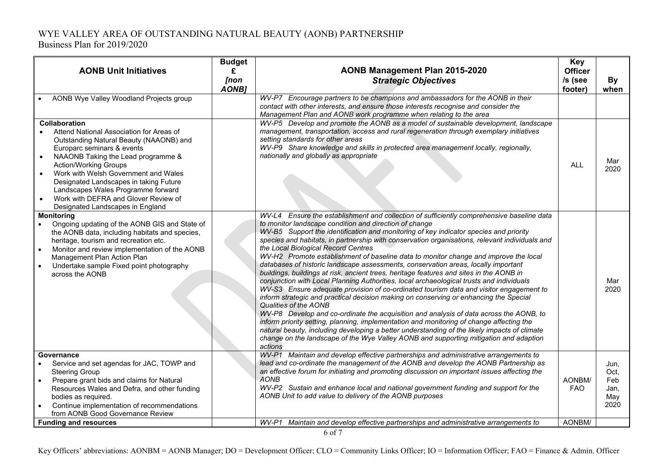| <b>AONB Unit Initiatives</b>                                                                                                                                                                                                                                                                                                                                                                                                                  | <b>Budget</b><br>£<br>[non<br>AONB1 | AONB Management Plan 2015-2020<br><b>Strategic Objectives</b>                                                                                                                                                                                                                                                                                                                                                                                                                                                                                                                                                                                                                                                                                                                                                                                                                                                                                                                                                                                                                                                                                                                                                                                                                                                                                                    | <b>Key</b><br><b>Officer</b><br>/s (see<br>footer) | <b>By</b><br>when                          |
|-----------------------------------------------------------------------------------------------------------------------------------------------------------------------------------------------------------------------------------------------------------------------------------------------------------------------------------------------------------------------------------------------------------------------------------------------|-------------------------------------|------------------------------------------------------------------------------------------------------------------------------------------------------------------------------------------------------------------------------------------------------------------------------------------------------------------------------------------------------------------------------------------------------------------------------------------------------------------------------------------------------------------------------------------------------------------------------------------------------------------------------------------------------------------------------------------------------------------------------------------------------------------------------------------------------------------------------------------------------------------------------------------------------------------------------------------------------------------------------------------------------------------------------------------------------------------------------------------------------------------------------------------------------------------------------------------------------------------------------------------------------------------------------------------------------------------------------------------------------------------|----------------------------------------------------|--------------------------------------------|
| AONB Wye Valley Woodland Projects group                                                                                                                                                                                                                                                                                                                                                                                                       |                                     | WV-P7 Encourage partners to be champions and ambassadors for the AONB in their<br>contact with other interests, and ensure those interests recognise and consider the<br>Management Plan and AONB work programme when relating to the area                                                                                                                                                                                                                                                                                                                                                                                                                                                                                                                                                                                                                                                                                                                                                                                                                                                                                                                                                                                                                                                                                                                       |                                                    |                                            |
| <b>Collaboration</b><br>Attend National Association for Areas of<br>Outstanding Natural Beauty (NAAONB) and<br>Europarc seminars & events<br>NAAONB Taking the Lead programme &<br><b>Action/Working Groups</b><br>Work with Welsh Government and Wales<br>$\bullet$<br>Designated Landscapes in taking Future<br>Landscapes Wales Programme forward<br>Work with DEFRA and Glover Review of<br>$\bullet$<br>Designated Landscapes in England |                                     | WV-P5 Develop and promote the AONB as a model of sustainable development, landscape<br>management, transportation, access and rural regeneration through exemplary initiatives<br>setting standards for other areas<br>WV-P9 Share knowledge and skills in protected area management locally, regionally,<br>nationally and globally as appropriate                                                                                                                                                                                                                                                                                                                                                                                                                                                                                                                                                                                                                                                                                                                                                                                                                                                                                                                                                                                                              | ALL                                                | Mar<br>2020                                |
| <b>Monitoring</b><br>Ongoing updating of the AONB GIS and State of<br>$\bullet$<br>the AONB data, including habitats and species,<br>heritage, tourism and recreation etc.<br>Monitor and review implementation of the AONB<br>Management Plan Action Plan<br>Undertake sample Fixed point photography<br>across the AONB                                                                                                                     |                                     | WV-L4 Ensure the establishment and collection of sufficiently comprehensive baseline data<br>to monitor landscape condition and direction of change<br>WV-B5 Support the identification and monitoring of key indicator species and priority<br>species and habitats, in partnership with conservation organisations, relevant individuals and<br>the Local Biological Record Centres<br>WV-H2 Promote establishment of baseline data to monitor change and improve the local<br>databases of historic landscape assessments, conservation areas, locally important<br>buildings, buildings at risk, ancient trees, heritage features and sites in the AONB in<br>conjunction with Local Planning Authorities, local archaeological trusts and individuals<br>WV-S3 Ensure adequate provision of co-ordinated tourism data and visitor engagement to<br>inform strategic and practical decision making on conserving or enhancing the Special<br>Qualities of the AONB<br>WV-P8 Develop and co-ordinate the acquisition and analysis of data across the AONB, to<br>inform priority setting, planning, implementation and monitoring of change affecting the<br>natural beauty, including developing a better understanding of the likely impacts of climate<br>change on the landscape of the Wye Valley AONB and supporting mitigation and adaption<br>actions |                                                    | Mar<br>2020                                |
| Governance<br>Service and set agendas for JAC, TOWP and<br><b>Steering Group</b><br>Prepare grant bids and claims for Natural<br>Resources Wales and Defra, and other funding<br>bodies as required.<br>Continue implementation of recommendations<br>from AONB Good Governance Review                                                                                                                                                        |                                     | WV-P1 Maintain and develop effective partnerships and administrative arrangements to<br>lead and co-ordinate the management of the AONB and develop the AONB Partnership as<br>an effective forum for initiating and promoting discussion on important issues affecting the<br><b>AONB</b><br>WV-P2 Sustain and enhance local and national government funding and support for the<br>AONB Unit to add value to delivery of the AONB purposes                                                                                                                                                                                                                                                                                                                                                                                                                                                                                                                                                                                                                                                                                                                                                                                                                                                                                                                     | AONBM/<br><b>FAO</b>                               | Jun,<br>Oct,<br>Feb<br>Jan,<br>May<br>2020 |
| <b>Funding and resources</b>                                                                                                                                                                                                                                                                                                                                                                                                                  |                                     | WV-P1 Maintain and develop effective partnerships and administrative arrangements to                                                                                                                                                                                                                                                                                                                                                                                                                                                                                                                                                                                                                                                                                                                                                                                                                                                                                                                                                                                                                                                                                                                                                                                                                                                                             | AONBM/                                             |                                            |